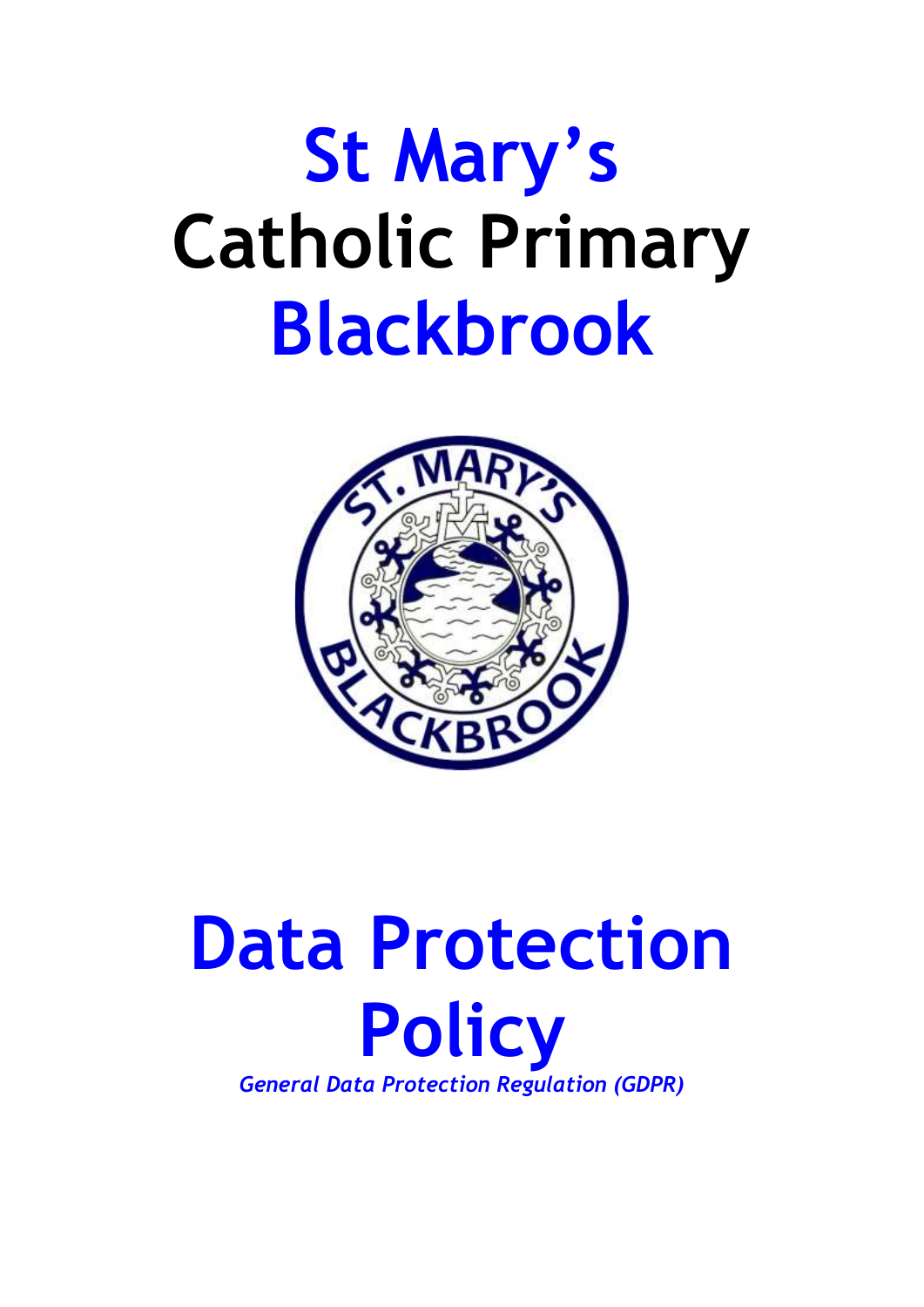# **St Mary's Catholic Primary Blackbrook**



# **Data Protection Policy**  *General Data Protection Regulation (GDPR)*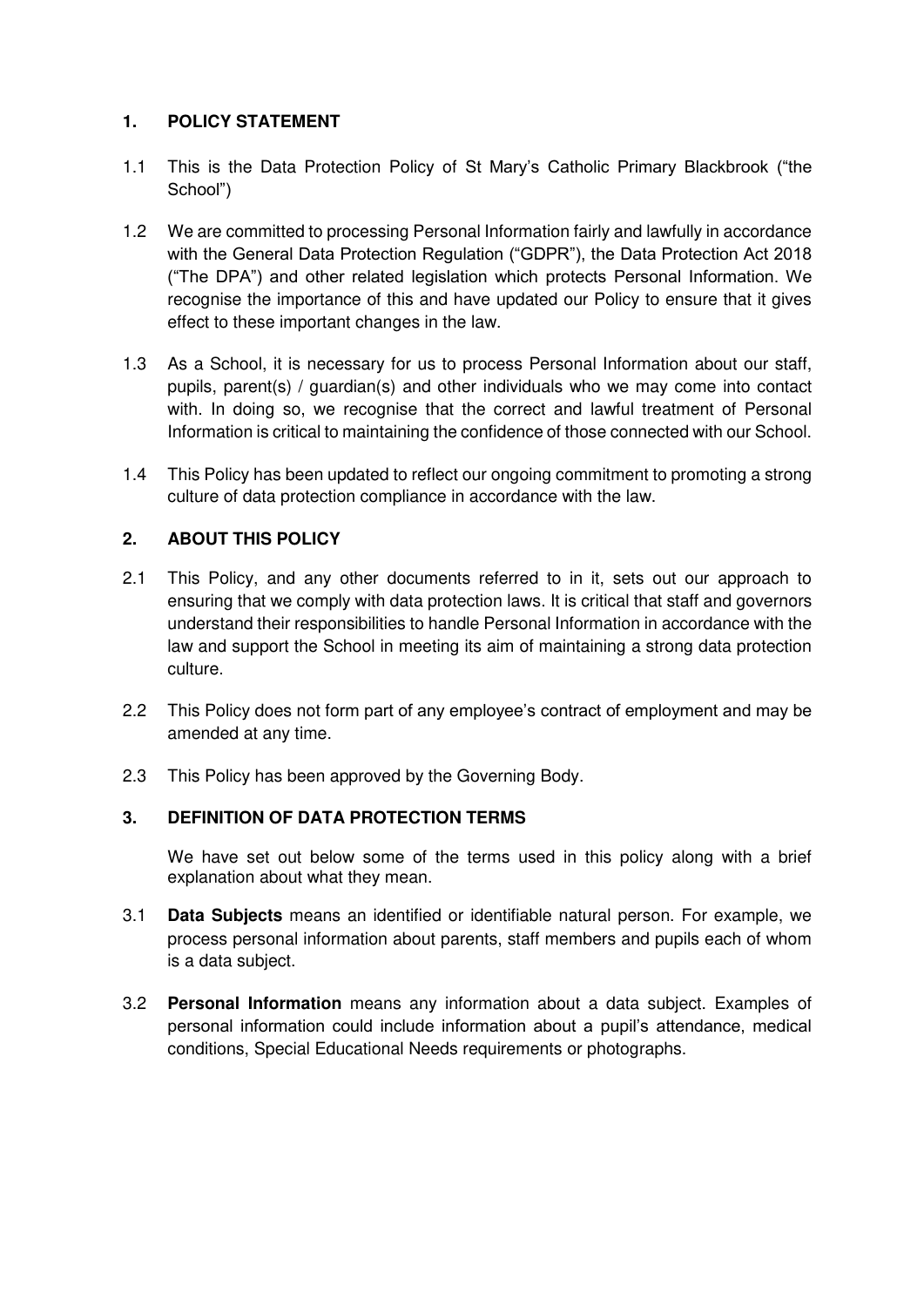## **1. POLICY STATEMENT**

- 1.1 This is the Data Protection Policy of St Mary's Catholic Primary Blackbrook ("the School")
- 1.2 We are committed to processing Personal Information fairly and lawfully in accordance with the General Data Protection Regulation ("GDPR"), the Data Protection Act 2018 ("The DPA") and other related legislation which protects Personal Information. We recognise the importance of this and have updated our Policy to ensure that it gives effect to these important changes in the law.
- 1.3 As a School, it is necessary for us to process Personal Information about our staff, pupils, parent(s) / guardian(s) and other individuals who we may come into contact with. In doing so, we recognise that the correct and lawful treatment of Personal Information is critical to maintaining the confidence of those connected with our School.
- 1.4 This Policy has been updated to reflect our ongoing commitment to promoting a strong culture of data protection compliance in accordance with the law.

# **2. ABOUT THIS POLICY**

- 2.1 This Policy, and any other documents referred to in it, sets out our approach to ensuring that we comply with data protection laws. It is critical that staff and governors understand their responsibilities to handle Personal Information in accordance with the law and support the School in meeting its aim of maintaining a strong data protection culture.
- 2.2 This Policy does not form part of any employee's contract of employment and may be amended at any time.
- 2.3 This Policy has been approved by the Governing Body.

# **3. DEFINITION OF DATA PROTECTION TERMS**

 We have set out below some of the terms used in this policy along with a brief explanation about what they mean.

- 3.1 **Data Subjects** means an identified or identifiable natural person. For example, we process personal information about parents, staff members and pupils each of whom is a data subject.
- 3.2 **Personal Information** means any information about a data subject. Examples of personal information could include information about a pupil's attendance, medical conditions, Special Educational Needs requirements or photographs.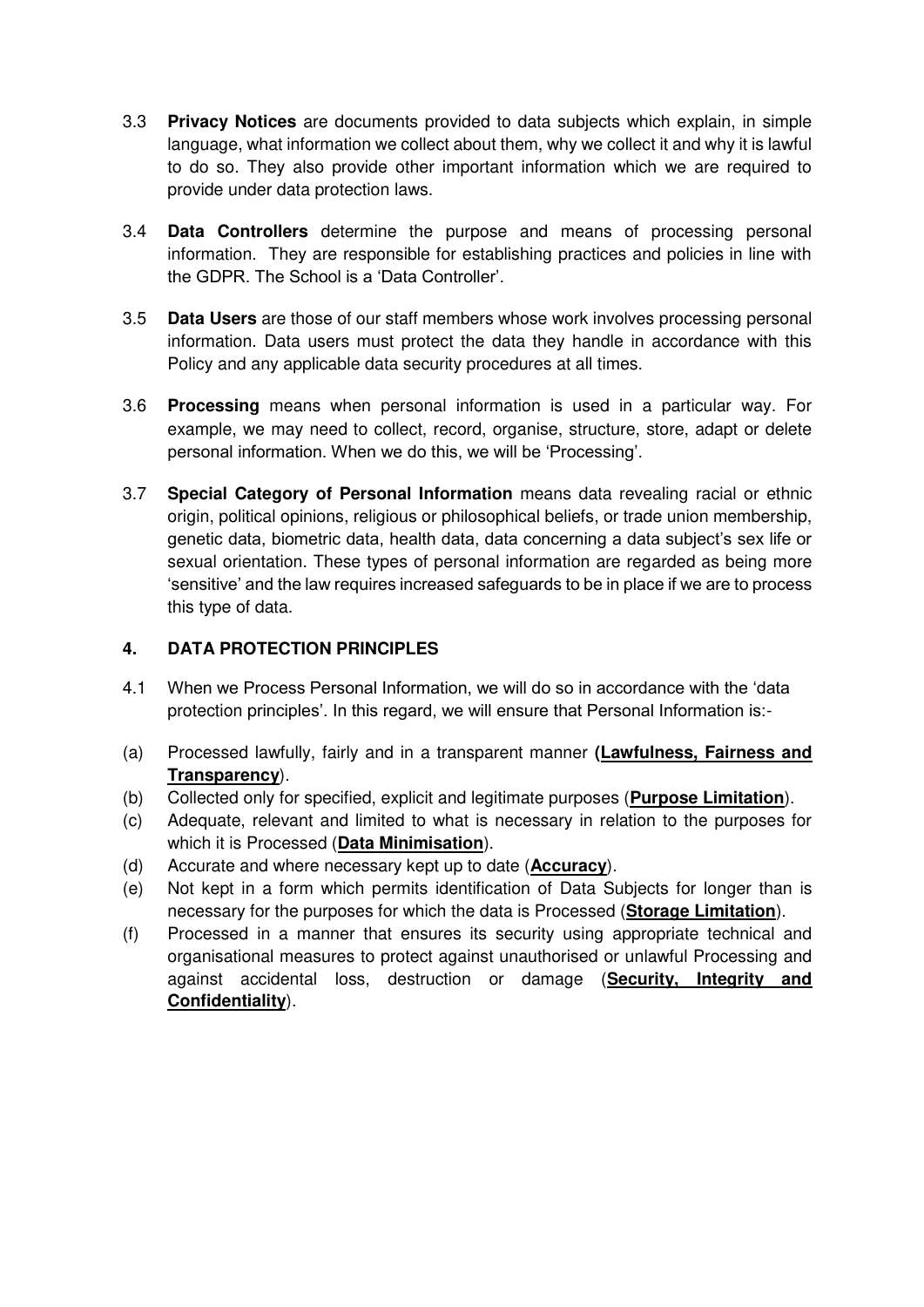- 3.3 **Privacy Notices** are documents provided to data subjects which explain, in simple language, what information we collect about them, why we collect it and why it is lawful to do so. They also provide other important information which we are required to provide under data protection laws.
- 3.4 **Data Controllers** determine the purpose and means of processing personal information. They are responsible for establishing practices and policies in line with the GDPR. The School is a 'Data Controller'.
- 3.5 **Data Users** are those of our staff members whose work involves processing personal information. Data users must protect the data they handle in accordance with this Policy and any applicable data security procedures at all times.
- 3.6 **Processing** means when personal information is used in a particular way. For example, we may need to collect, record, organise, structure, store, adapt or delete personal information. When we do this, we will be 'Processing'.
- 3.7 **Special Category of Personal Information** means data revealing racial or ethnic origin, political opinions, religious or philosophical beliefs, or trade union membership, genetic data, biometric data, health data, data concerning a data subject's sex life or sexual orientation. These types of personal information are regarded as being more 'sensitive' and the law requires increased safeguards to be in place if we are to process this type of data.

# **4. DATA PROTECTION PRINCIPLES**

- 4.1 When we Process Personal Information, we will do so in accordance with the 'data protection principles'. In this regard, we will ensure that Personal Information is:-
- (a) Processed lawfully, fairly and in a transparent manner **(Lawfulness, Fairness and Transparency**).
- (b) Collected only for specified, explicit and legitimate purposes (**Purpose Limitation**).
- (c) Adequate, relevant and limited to what is necessary in relation to the purposes for which it is Processed (**Data Minimisation**).
- (d) Accurate and where necessary kept up to date (**Accuracy**).
- (e) Not kept in a form which permits identification of Data Subjects for longer than is necessary for the purposes for which the data is Processed (**Storage Limitation**).
- (f) Processed in a manner that ensures its security using appropriate technical and organisational measures to protect against unauthorised or unlawful Processing and against accidental loss, destruction or damage (**Security, Integrity and Confidentiality**).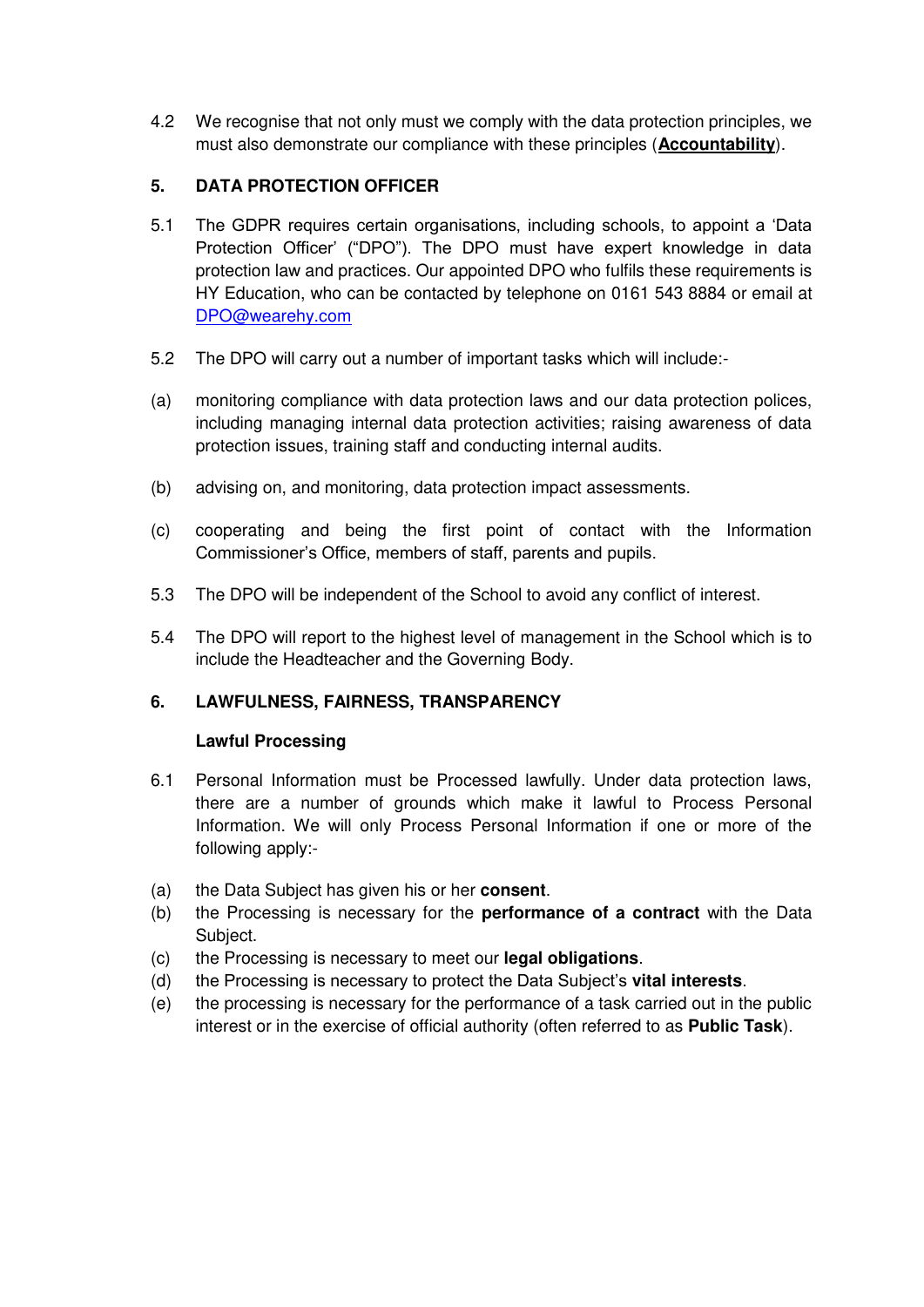4.2 We recognise that not only must we comply with the data protection principles, we must also demonstrate our compliance with these principles (**Accountability**).

# **5. DATA PROTECTION OFFICER**

- 5.1 The GDPR requires certain organisations, including schools, to appoint a 'Data Protection Officer' ("DPO"). The DPO must have expert knowledge in data protection law and practices. Our appointed DPO who fulfils these requirements is HY Education, who can be contacted by telephone on 0161 543 8884 or email at [DPO@wearehy.com](mailto:DPO@wearehy.com)
- 5.2 The DPO will carry out a number of important tasks which will include:-
- (a) monitoring compliance with data protection laws and our data protection polices, including managing internal data protection activities; raising awareness of data protection issues, training staff and conducting internal audits.
- (b) advising on, and monitoring, data protection impact assessments.
- (c) cooperating and being the first point of contact with the Information Commissioner's Office, members of staff, parents and pupils.
- 5.3 The DPO will be independent of the School to avoid any conflict of interest.
- 5.4 The DPO will report to the highest level of management in the School which is to include the Headteacher and the Governing Body.

# **6. LAWFULNESS, FAIRNESS, TRANSPARENCY**

#### **Lawful Processing**

- 6.1 Personal Information must be Processed lawfully. Under data protection laws, there are a number of grounds which make it lawful to Process Personal Information. We will only Process Personal Information if one or more of the following apply:-
- (a) the Data Subject has given his or her **consent**.
- (b) the Processing is necessary for the **performance of a contract** with the Data Subject.
- (c) the Processing is necessary to meet our **legal obligations**.
- (d) the Processing is necessary to protect the Data Subject's **vital interests**.
- (e) the processing is necessary for the performance of a task carried out in the public interest or in the exercise of official authority (often referred to as **Public Task**).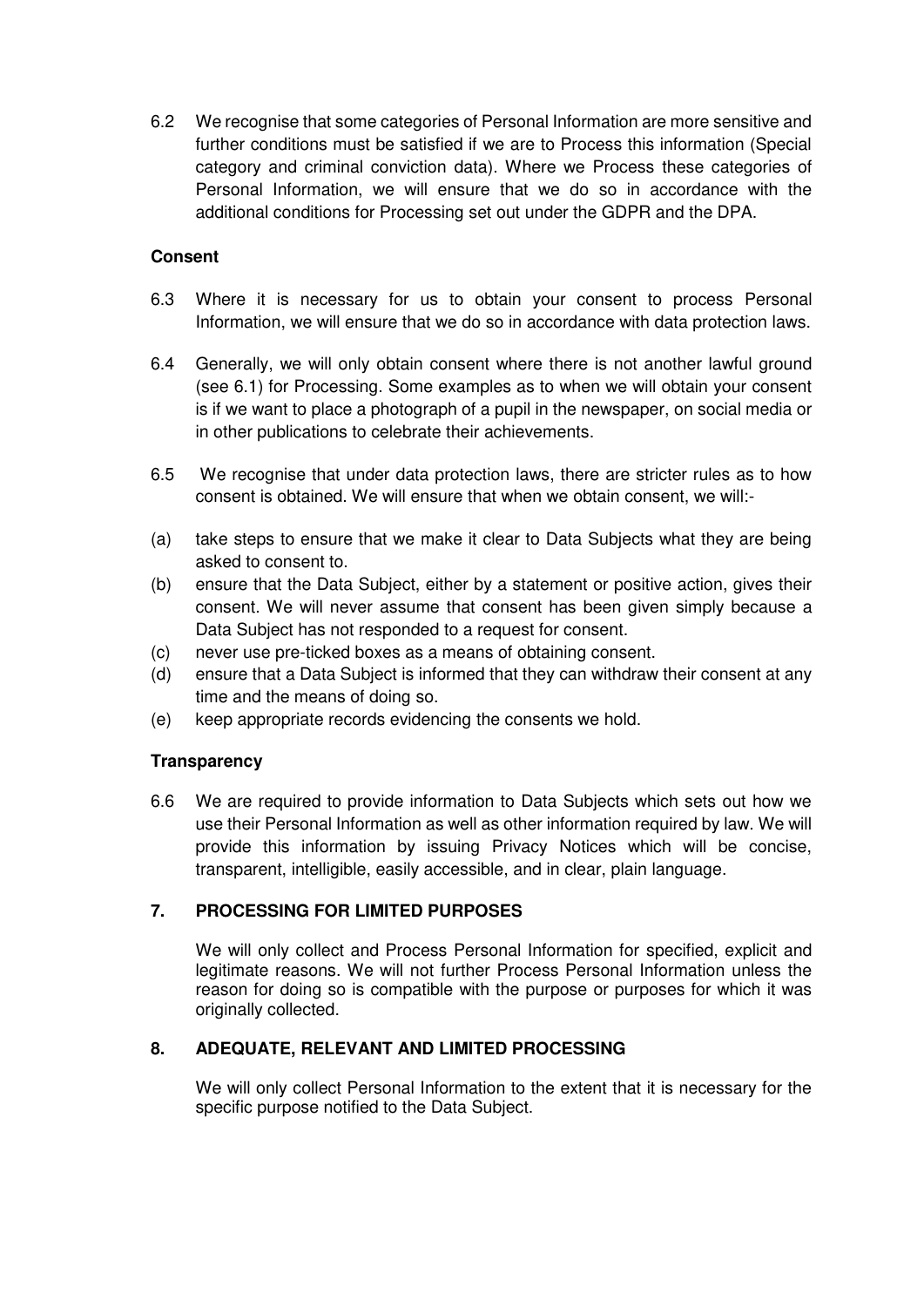6.2 We recognise that some categories of Personal Information are more sensitive and further conditions must be satisfied if we are to Process this information (Special category and criminal conviction data). Where we Process these categories of Personal Information, we will ensure that we do so in accordance with the additional conditions for Processing set out under the GDPR and the DPA.

# **Consent**

- 6.3 Where it is necessary for us to obtain your consent to process Personal Information, we will ensure that we do so in accordance with data protection laws.
- 6.4 Generally, we will only obtain consent where there is not another lawful ground (see 6.1) for Processing. Some examples as to when we will obtain your consent is if we want to place a photograph of a pupil in the newspaper, on social media or in other publications to celebrate their achievements.
- 6.5 We recognise that under data protection laws, there are stricter rules as to how consent is obtained. We will ensure that when we obtain consent, we will:-
- (a) take steps to ensure that we make it clear to Data Subjects what they are being asked to consent to.
- (b) ensure that the Data Subject, either by a statement or positive action, gives their consent. We will never assume that consent has been given simply because a Data Subject has not responded to a request for consent.
- (c) never use pre-ticked boxes as a means of obtaining consent.
- (d) ensure that a Data Subject is informed that they can withdraw their consent at any time and the means of doing so.
- (e) keep appropriate records evidencing the consents we hold.

# **Transparency**

6.6 We are required to provide information to Data Subjects which sets out how we use their Personal Information as well as other information required by law. We will provide this information by issuing Privacy Notices which will be concise, transparent, intelligible, easily accessible, and in clear, plain language.

# **7. PROCESSING FOR LIMITED PURPOSES**

 We will only collect and Process Personal Information for specified, explicit and legitimate reasons. We will not further Process Personal Information unless the reason for doing so is compatible with the purpose or purposes for which it was originally collected.

#### **8. ADEQUATE, RELEVANT AND LIMITED PROCESSING**

 We will only collect Personal Information to the extent that it is necessary for the specific purpose notified to the Data Subject.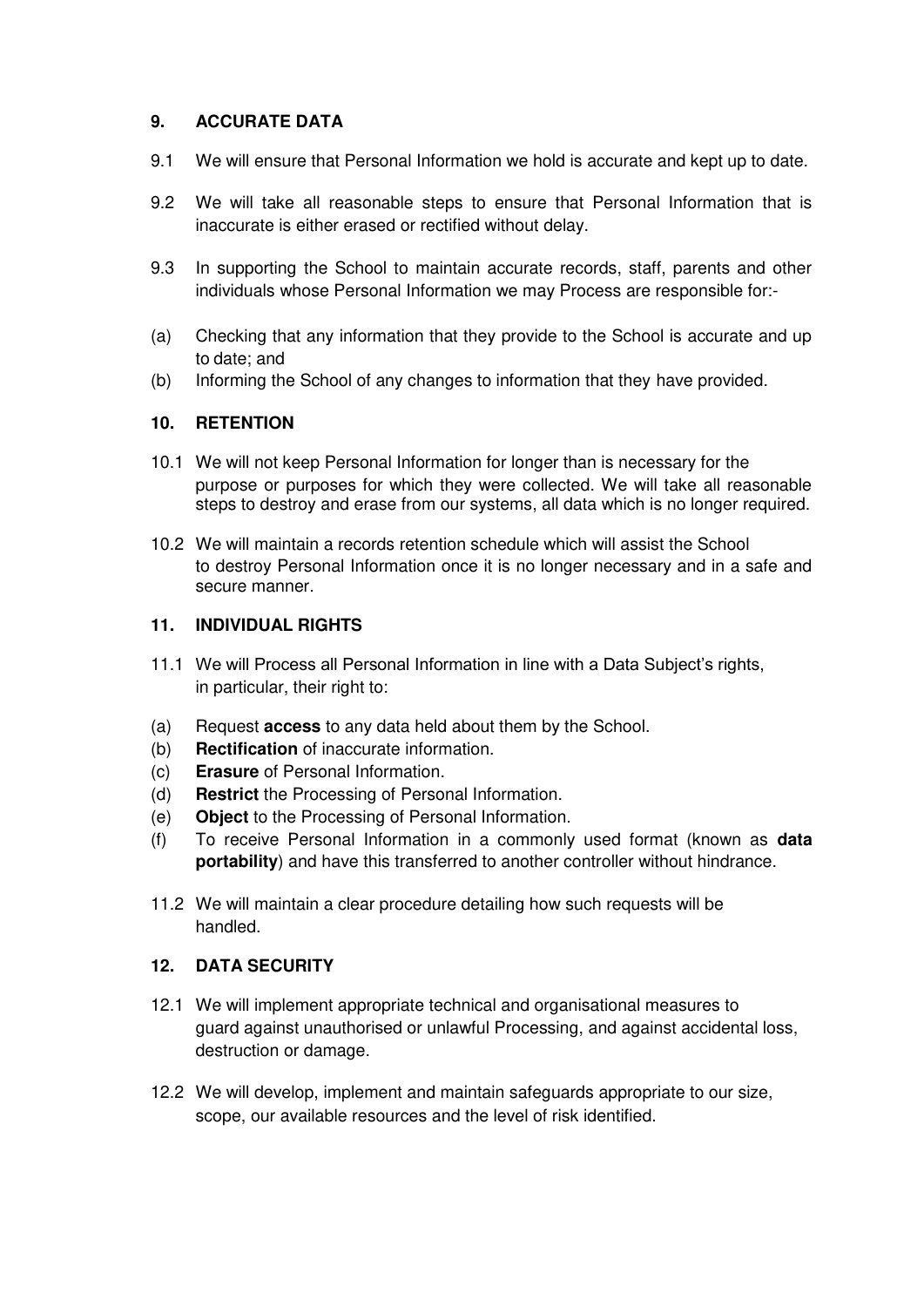# **9. ACCURATE DATA**

- 9.1 We will ensure that Personal Information we hold is accurate and kept up to date.
- 9.2 We will take all reasonable steps to ensure that Personal Information that is inaccurate is either erased or rectified without delay.
- 9.3 In supporting the School to maintain accurate records, staff, parents and other individuals whose Personal Information we may Process are responsible for:-
- (a) Checking that any information that they provide to the School is accurate and up to date; and
- (b) Informing the School of any changes to information that they have provided.

#### **10. RETENTION**

- 10.1 We will not keep Personal Information for longer than is necessary for the purpose or purposes for which they were collected. We will take all reasonable steps to destroy and erase from our systems, all data which is no longer required.
- 10.2 We will maintain a records retention schedule which will assist the School to destroy Personal Information once it is no longer necessary and in a safe and secure manner.

#### **11. INDIVIDUAL RIGHTS**

- 11.1 We will Process all Personal Information in line with a Data Subject's rights, in particular, their right to:
- (a) Request **access** to any data held about them by the School.
- (b) **Rectification** of inaccurate information.
- (c) **Erasure** of Personal Information.
- (d) **Restrict** the Processing of Personal Information.
- (e) **Object** to the Processing of Personal Information.
- (f) To receive Personal Information in a commonly used format (known as **data portability**) and have this transferred to another controller without hindrance.
- 11.2 We will maintain a clear procedure detailing how such requests will be handled.

#### **12. DATA SECURITY**

- 12.1 We will implement appropriate technical and organisational measures to guard against unauthorised or unlawful Processing, and against accidental loss, destruction or damage.
- 12.2 We will develop, implement and maintain safeguards appropriate to our size, scope, our available resources and the level of risk identified.